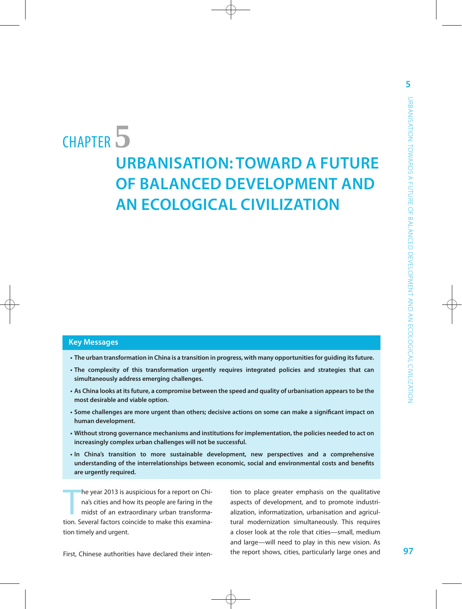# CHAPTER**5**

## **URBANISATION: TOWARD A FUTURE OF BALANCED DEVELOPMENT AND AN ECOLOGICAL CIVILIZATION**

#### **Key Messages**

- **• The urban transformation in China is a transition in progress, with many opportunities for guiding its future.**
- **• The complexity of this transformation urgently requires integrated policies and strategies that can simultaneously address emerging challenges.**
- **• As China looks at its future, a compromise between the speed and quality of urbanisation appears to be the most desirable and viable option.**
- **• Some challenges are more urgent than others; decisive actions on some can make a significant impact on human development.**
- **• Without strong governance mechanisms and institutions for implementation, the policies needed to act on increasingly complex urban challenges will not be successful.**
- **• In China's transition to more sustainable development, new perspectives and a comprehensive understanding of the interrelationships between economic, social and environmental costs and benefits are urgently required.**

the year 2013 is auspicious for a report on China's cities and how its people are faring in the midst of an extraordinary urban transformation. Several factors coincide to make this examinahe year 2013 is auspicious for a report on China's cities and how its people are faring in the midst of an extraordinary urban transformation timely and urgent.

tion to place greater emphasis on the qualitative aspects of development, and to promote industrialization, informatization, urbanisation and agricultural modernization simultaneously. This requires a closer look at the role that cities—small, medium and large—will need to play in this new vision. As the report shows, cities, particularly large ones and **5**

First, Chinese authorities have declared their inten-

**97**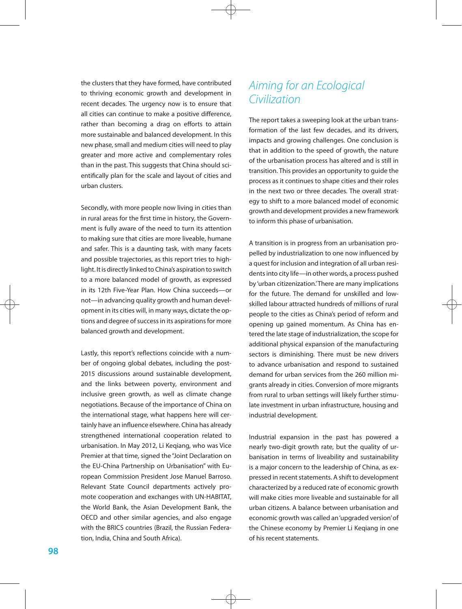the clusters that they have formed, have contributed to thriving economic growth and development in recent decades. The urgency now is to ensure that all cities can continue to make a positive difference, rather than becoming a drag on efforts to attain more sustainable and balanced development. In this new phase, small and medium cities will need to play greater and more active and complementary roles than in the past. This suggests that China should scientifically plan for the scale and layout of cities and urban clusters.

Secondly, with more people now living in cities than in rural areas for the first time in history, the Government is fully aware of the need to turn its attention to making sure that cities are more liveable, humane and safer. This is a daunting task, with many facets and possible trajectories, as this report tries to highlight. It is directly linked to China's aspiration to switch to a more balanced model of growth, as expressed in its 12th Five-Year Plan. How China succeeds—or not—in advancing quality growth and human development in its cities will, in many ways, dictate the options and degree of success in its aspirations for more balanced growth and development.

Lastly, this report's reflections coincide with a number of ongoing global debates, including the post-2015 discussions around sustainable development, and the links between poverty, environment and inclusive green growth, as well as climate change negotiations. Because of the importance of China on the international stage, what happens here will certainly have an influence elsewhere. China has already strengthened international cooperation related to urbanisation. In May 2012, Li Keqiang, who was Vice Premier at that time, signed the "Joint Declaration on the EU-China Partnership on Urbanisation" with European Commission President Jose Manuel Barroso. Relevant State Council departments actively promote cooperation and exchanges with UN-HABITAT, the World Bank, the Asian Development Bank, the OECD and other similar agencies, and also engage with the BRICS countries (Brazil, the Russian Federation, India, China and South Africa).

#### *Aiming for an Ecological Civilization*

The report takes a sweeping look at the urban transformation of the last few decades, and its drivers, impacts and growing challenges. One conclusion is that in addition to the speed of growth, the nature of the urbanisation process has altered and is still in transition. This provides an opportunity to guide the process as it continues to shape cities and their roles in the next two or three decades. The overall strategy to shift to a more balanced model of economic growth and development provides a new framework to inform this phase of urbanisation.

A transition is in progress from an urbanisation propelled by industrialization to one now influenced by a quest for inclusion and integration of all urban residents into city life—in other words, a process pushed by 'urban citizenization.' There are many implications for the future. The demand for unskilled and lowskilled labour attracted hundreds of millions of rural people to the cities as China's period of reform and opening up gained momentum. As China has entered the late stage of industrialization, the scope for additional physical expansion of the manufacturing sectors is diminishing. There must be new drivers to advance urbanisation and respond to sustained demand for urban services from the 260 million migrants already in cities. Conversion of more migrants from rural to urban settings will likely further stimulate investment in urban infrastructure, housing and industrial development.

Industrial expansion in the past has powered a nearly two-digit growth rate, but the quality of urbanisation in terms of liveability and sustainability is a major concern to the leadership of China, as expressed in recent statements. A shift to development characterized by a reduced rate of economic growth will make cities more liveable and sustainable for all urban citizens. A balance between urbanisation and economic growth was called an 'upgraded version' of the Chinese economy by Premier Li Keqiang in one of his recent statements.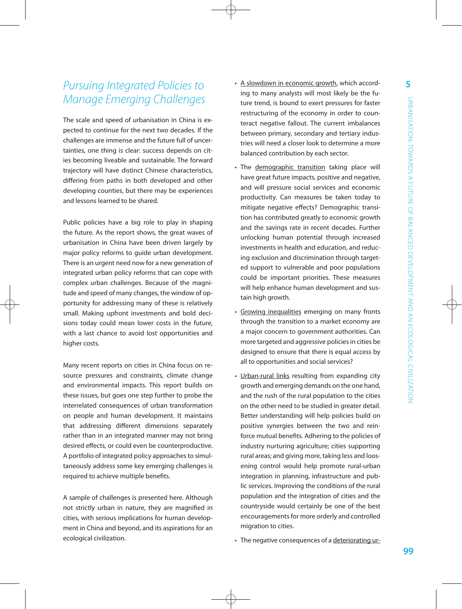### *Pursuing Integrated Policies to Manage Emerging Challenges*

The scale and speed of urbanisation in China is expected to continue for the next two decades. If the challenges are immense and the future full of uncertainties, one thing is clear: success depends on cities becoming liveable and sustainable. The forward trajectory will have distinct Chinese characteristics, differing from paths in both developed and other developing counties, but there may be experiences and lessons learned to be shared.

Public policies have a big role to play in shaping the future. As the report shows, the great waves of urbanisation in China have been driven largely by major policy reforms to guide urban development. There is an urgent need now for a new generation of integrated urban policy reforms that can cope with complex urban challenges. Because of the magnitude and speed of many changes, the window of opportunity for addressing many of these is relatively small. Making upfront investments and bold decisions today could mean lower costs in the future, with a last chance to avoid lost opportunities and higher costs.

Many recent reports on cities in China focus on resource pressures and constraints, climate change and environmental impacts. This report builds on these issues, but goes one step further to probe the interrelated consequences of urban transformation on people and human development. It maintains that addressing different dimensions separately rather than in an integrated manner may not bring desired effects, or could even be counterproductive. A portfolio of integrated policy approaches to simultaneously address some key emerging challenges is required to achieve multiple benefits.

A sample of challenges is presented here. Although not strictly urban in nature, they are magnified in cities, with serious implications for human development in China and beyond, and its aspirations for an ecological civilization.

- A slowdown in economic growth, which according to many analysts will most likely be the future trend, is bound to exert pressures for faster restructuring of the economy in order to counteract negative fallout. The current imbalances between primary, secondary and tertiary industries will need a closer look to determine a more balanced contribution by each sector.
- The demographic transition taking place will have great future impacts, positive and negative, and will pressure social services and economic productivity. Can measures be taken today to mitigate negative effects? Demographic transition has contributed greatly to economic growth and the savings rate in recent decades. Further unlocking human potential through increased investments in health and education, and reducing exclusion and discrimination through targeted support to vulnerable and poor populations could be important priorities. These measures will help enhance human development and sustain high growth.
- Growing inequalities emerging on many fronts through the transition to a market economy are a major concern to government authorities. Can more targeted and aggressive policies in cities be designed to ensure that there is equal access by all to opportunities and social services?
- Urban-rural links resulting from expanding city growth and emerging demands on the one hand, and the rush of the rural population to the cities on the other need to be studied in greater detail. Better understanding will help policies build on positive synergies between the two and reinforce mutual benefits. Adhering to the policies of industry nurturing agriculture; cities supporting rural areas; and giving more, taking less and loosening control would help promote rural-urban integration in planning, infrastructure and public services. Improving the conditions of the rural population and the integration of cities and the countryside would certainly be one of the best encouragements for more orderly and controlled migration to cities.
- The negative consequences of a deteriorating ur-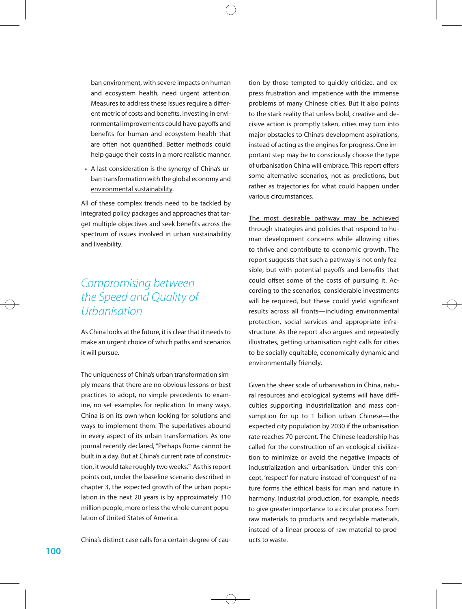ban environment, with severe impacts on human and ecosystem health, need urgent attention. Measures to address these issues require a different metric of costs and benefits. Investing in environmental improvements could have payoffs and benefits for human and ecosystem health that are often not quantified. Better methods could help gauge their costs in a more realistic manner.

• A last consideration is the synergy of China's urban transformation with the global economy and environmental sustainability.

All of these complex trends need to be tackled by integrated policy packages and approaches that target multiple objectives and seek benefits across the spectrum of issues involved in urban sustainability and liveability.

### *Compromising between the Speed and Quality of Urbanisation*

As China looks at the future, it is clear that it needs to make an urgent choice of which paths and scenarios it will pursue.

The uniqueness of China's urban transformation simply means that there are no obvious lessons or best practices to adopt, no simple precedents to examine, no set examples for replication. In many ways, China is on its own when looking for solutions and ways to implement them. The superlatives abound in every aspect of its urban transformation. As one journal recently declared, "Perhaps Rome cannot be built in a day. But at China's current rate of construction, it would take roughly two weeks."1 As this report points out, under the baseline scenario described in chapter 3, the expected growth of the urban population in the next 20 years is by approximately 310 million people, more or less the whole current population of United States of America.

China's distinct case calls for a certain degree of cau-

tion by those tempted to quickly criticize, and express frustration and impatience with the immense problems of many Chinese cities. But it also points to the stark reality that unless bold, creative and decisive action is promptly taken, cities may turn into major obstacles to China's development aspirations, instead of acting as the engines for progress. One important step may be to consciously choose the type of urbanisation China will embrace. This report offers some alternative scenarios, not as predictions, but rather as trajectories for what could happen under various circumstances.

The most desirable pathway may be achieved through strategies and policies that respond to human development concerns while allowing cities to thrive and contribute to economic growth. The report suggests that such a pathway is not only feasible, but with potential payoffs and benefits that could offset some of the costs of pursuing it. According to the scenarios, considerable investments will be required, but these could yield significant results across all fronts—including environmental protection, social services and appropriate infrastructure. As the report also argues and repeatedly illustrates, getting urbanisation right calls for cities to be socially equitable, economically dynamic and environmentally friendly.

Given the sheer scale of urbanisation in China, natural resources and ecological systems will have difficulties supporting industrialization and mass consumption for up to 1 billion urban Chinese—the expected city population by 2030 if the urbanisation rate reaches 70 percent. The Chinese leadership has called for the construction of an ecological civilization to minimize or avoid the negative impacts of industrialization and urbanisation. Under this concept, 'respect' for nature instead of 'conquest' of nature forms the ethical basis for man and nature in harmony. Industrial production, for example, needs to give greater importance to a circular process from raw materials to products and recyclable materials, instead of a linear process of raw material to products to waste.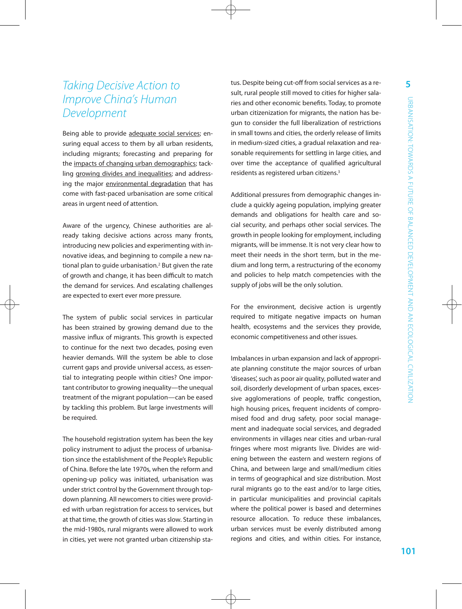### *Taking Decisive Action to Improve China's Human Development*

Being able to provide adequate social services; ensuring equal access to them by all urban residents, including migrants; forecasting and preparing for the impacts of changing urban demographics; tackling growing divides and inequalities; and addressing the major environmental degradation that has come with fast-paced urbanisation are some critical areas in urgent need of attention.

Aware of the urgency, Chinese authorities are already taking decisive actions across many fronts, introducing new policies and experimenting with innovative ideas, and beginning to compile a new national plan to guide urbanisation.<sup>2</sup> But given the rate of growth and change, it has been difficult to match the demand for services. And escalating challenges are expected to exert ever more pressure.

The system of public social services in particular has been strained by growing demand due to the massive influx of migrants. This growth is expected to continue for the next two decades, posing even heavier demands. Will the system be able to close current gaps and provide universal access, as essential to integrating people within cities? One important contributor to growing inequality—the unequal treatment of the migrant population—can be eased by tackling this problem. But large investments will be required.

The household registration system has been the key policy instrument to adjust the process of urbanisation since the establishment of the People's Republic of China. Before the late 1970s, when the reform and opening-up policy was initiated, urbanisation was under strict control by the Government through topdown planning. All newcomers to cities were provided with urban registration for access to services, but at that time, the growth of cities was slow. Starting in the mid-1980s, rural migrants were allowed to work in cities, yet were not granted urban citizenship status. Despite being cut-off from social services as a result, rural people still moved to cities for higher salaries and other economic benefits. Today, to promote urban citizenization for migrants, the nation has begun to consider the full liberalization of restrictions in small towns and cities, the orderly release of limits in medium-sized cities, a gradual relaxation and reasonable requirements for settling in large cities, and over time the acceptance of qualified agricultural residents as registered urban citizens.3

Additional pressures from demographic changes include a quickly ageing population, implying greater demands and obligations for health care and social security, and perhaps other social services. The growth in people looking for employment, including migrants, will be immense. It is not very clear how to meet their needs in the short term, but in the medium and long term, a restructuring of the economy and policies to help match competencies with the supply of jobs will be the only solution.

For the environment, decisive action is urgently required to mitigate negative impacts on human health, ecosystems and the services they provide, economic competitiveness and other issues.

Imbalances in urban expansion and lack of appropriate planning constitute the major sources of urban 'diseases', such as poor air quality, polluted water and soil, disorderly development of urban spaces, excessive agglomerations of people, traffic congestion, high housing prices, frequent incidents of compromised food and drug safety, poor social management and inadequate social services, and degraded environments in villages near cities and urban-rural fringes where most migrants live. Divides are widening between the eastern and western regions of China, and between large and small/medium cities in terms of geographical and size distribution. Most rural migrants go to the east and/or to large cities, in particular municipalities and provincial capitals where the political power is based and determines resource allocation. To reduce these imbalances, urban services must be evenly distributed among regions and cities, and within cities. For instance,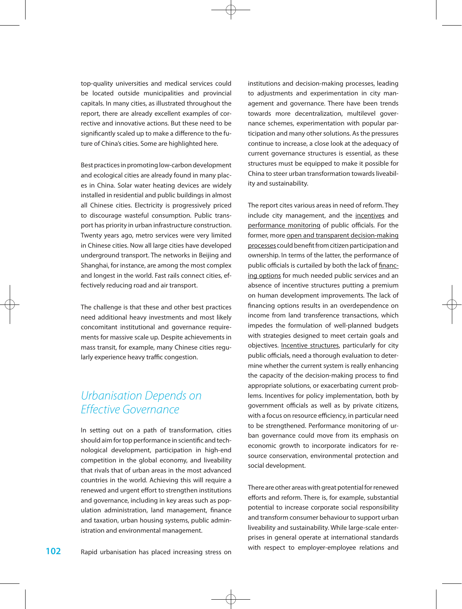top-quality universities and medical services could be located outside municipalities and provincial capitals. In many cities, as illustrated throughout the report, there are already excellent examples of corrective and innovative actions. But these need to be significantly scaled up to make a difference to the future of China's cities. Some are highlighted here.

Best practices in promoting low-carbon development and ecological cities are already found in many places in China. Solar water heating devices are widely installed in residential and public buildings in almost all Chinese cities. Electricity is progressively priced to discourage wasteful consumption. Public transport has priority in urban infrastructure construction. Twenty years ago, metro services were very limited in Chinese cities. Now all large cities have developed underground transport. The networks in Beijing and Shanghai, for instance, are among the most complex and longest in the world. Fast rails connect cities, effectively reducing road and air transport.

The challenge is that these and other best practices need additional heavy investments and most likely concomitant institutional and governance requirements for massive scale up. Despite achievements in mass transit, for example, many Chinese cities regularly experience heavy traffic congestion.

#### *Urbanisation Depends on Effective Governance*

In setting out on a path of transformation, cities should aim for top performance in scientific and technological development, participation in high-end competition in the global economy, and liveability that rivals that of urban areas in the most advanced countries in the world. Achieving this will require a renewed and urgent effort to strengthen institutions and governance, including in key areas such as population administration, land management, finance and taxation, urban housing systems, public administration and environmental management.

institutions and decision-making processes, leading to adjustments and experimentation in city management and governance. There have been trends towards more decentralization, multilevel governance schemes, experimentation with popular participation and many other solutions. As the pressures continue to increase, a close look at the adequacy of current governance structures is essential, as these structures must be equipped to make it possible for China to steer urban transformation towards liveability and sustainability.

The report cites various areas in need of reform. They include city management, and the incentives and performance monitoring of public officials. For the former, more open and transparent decision-making processes could benefit from citizen participation and ownership. In terms of the latter, the performance of public officials is curtailed by both the lack of financing options for much needed public services and an absence of incentive structures putting a premium on human development improvements. The lack of financing options results in an overdependence on income from land transference transactions, which impedes the formulation of well-planned budgets with strategies designed to meet certain goals and objectives. Incentive structures, particularly for city public officials, need a thorough evaluation to determine whether the current system is really enhancing the capacity of the decision-making process to find appropriate solutions, or exacerbating current problems. Incentives for policy implementation, both by government officials as well as by private citizens, with a focus on resource efficiency, in particular need to be strengthened. Performance monitoring of urban governance could move from its emphasis on economic growth to incorporate indicators for resource conservation, environmental protection and social development.

There are other areas with great potential for renewed efforts and reform. There is, for example, substantial potential to increase corporate social responsibility and transform consumer behaviour to support urban liveability and sustainability. While large-scale enterprises in general operate at international standards with respect to employer-employee relations and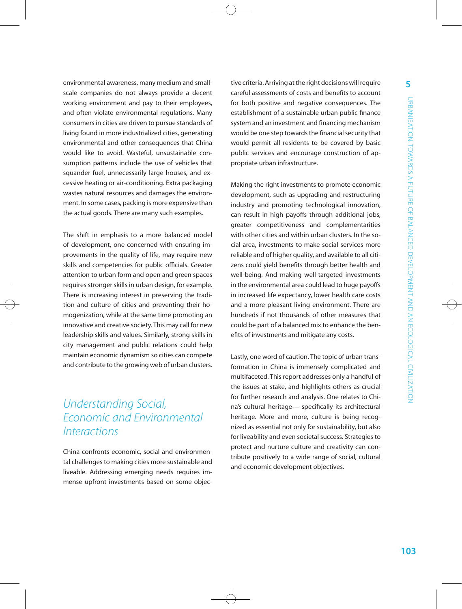environmental awareness, many medium and smallscale companies do not always provide a decent working environment and pay to their employees, and often violate environmental regulations. Many consumers in cities are driven to pursue standards of living found in more industrialized cities, generating environmental and other consequences that China would like to avoid. Wasteful, unsustainable consumption patterns include the use of vehicles that squander fuel, unnecessarily large houses, and excessive heating or air-conditioning. Extra packaging wastes natural resources and damages the environment. In some cases, packing is more expensive than the actual goods. There are many such examples.

The shift in emphasis to a more balanced model of development, one concerned with ensuring improvements in the quality of life, may require new skills and competencies for public officials. Greater attention to urban form and open and green spaces requires stronger skills in urban design, for example. There is increasing interest in preserving the tradition and culture of cities and preventing their homogenization, while at the same time promoting an innovative and creative society. This may call for new leadership skills and values. Similarly, strong skills in city management and public relations could help maintain economic dynamism so cities can compete and contribute to the growing web of urban clusters.

#### *Understanding Social, Economic and Environmental Interactions*

China confronts economic, social and environmental challenges to making cities more sustainable and liveable. Addressing emerging needs requires immense upfront investments based on some objective criteria. Arriving at the right decisions will require careful assessments of costs and benefits to account for both positive and negative consequences. The establishment of a sustainable urban public finance system and an investment and financing mechanism would be one step towards the financial security that would permit all residents to be covered by basic public services and encourage construction of appropriate urban infrastructure.

Making the right investments to promote economic development, such as upgrading and restructuring industry and promoting technological innovation, can result in high payoffs through additional jobs, greater competitiveness and complementarities with other cities and within urban clusters. In the social area, investments to make social services more reliable and of higher quality, and available to all citizens could yield benefits through better health and well-being. And making well-targeted investments in the environmental area could lead to huge payoffs in increased life expectancy, lower health care costs and a more pleasant living environment. There are hundreds if not thousands of other measures that could be part of a balanced mix to enhance the benefits of investments and mitigate any costs.

Lastly, one word of caution. The topic of urban transformation in China is immensely complicated and multifaceted. This report addresses only a handful of the issues at stake, and highlights others as crucial for further research and analysis. One relates to China's cultural heritage— specifically its architectural heritage. More and more, culture is being recognized as essential not only for sustainability, but also for liveability and even societal success. Strategies to protect and nurture culture and creativity can contribute positively to a wide range of social, cultural and economic development objectives.